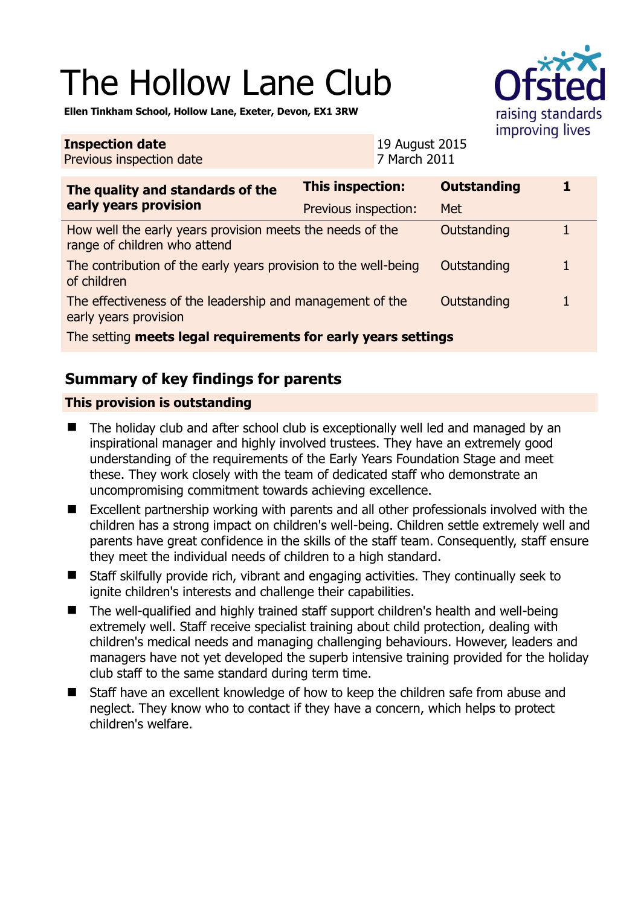# The Hollow Lane Club



**Ellen Tinkham School, Hollow Lane, Exeter, Devon, EX1 3RW** 

| <b>Inspection date</b><br>Previous inspection date                                                |                         | 19 August 2015<br>7 March 2011 |                    | $\cdots$ $\cdots$ $\cdots$ $\cdots$ |
|---------------------------------------------------------------------------------------------------|-------------------------|--------------------------------|--------------------|-------------------------------------|
| The quality and standards of the<br>early years provision                                         | <b>This inspection:</b> |                                | <b>Outstanding</b> |                                     |
|                                                                                                   | Previous inspection:    |                                | Met                |                                     |
| How well the early years provision meets the needs of the<br>range of children who attend         |                         |                                | Outstanding        |                                     |
| The contribution of the early years provision to the well-being<br>of children                    |                         |                                | Outstanding        | 1                                   |
| The effectiveness of the leadership and management of the<br>Outstanding<br>early years provision |                         |                                |                    |                                     |
| The setting meets legal requirements for early years settings                                     |                         |                                |                    |                                     |

# **Summary of key findings for parents**

### **This provision is outstanding**

- The holiday club and after school club is exceptionally well led and managed by an inspirational manager and highly involved trustees. They have an extremely good understanding of the requirements of the Early Years Foundation Stage and meet these. They work closely with the team of dedicated staff who demonstrate an uncompromising commitment towards achieving excellence.
- Excellent partnership working with parents and all other professionals involved with the children has a strong impact on children's well-being. Children settle extremely well and parents have great confidence in the skills of the staff team. Consequently, staff ensure they meet the individual needs of children to a high standard.
- Staff skilfully provide rich, vibrant and engaging activities. They continually seek to ignite children's interests and challenge their capabilities.
- The well-qualified and highly trained staff support children's health and well-being extremely well. Staff receive specialist training about child protection, dealing with children's medical needs and managing challenging behaviours. However, leaders and managers have not yet developed the superb intensive training provided for the holiday club staff to the same standard during term time.
- Staff have an excellent knowledge of how to keep the children safe from abuse and neglect. They know who to contact if they have a concern, which helps to protect children's welfare.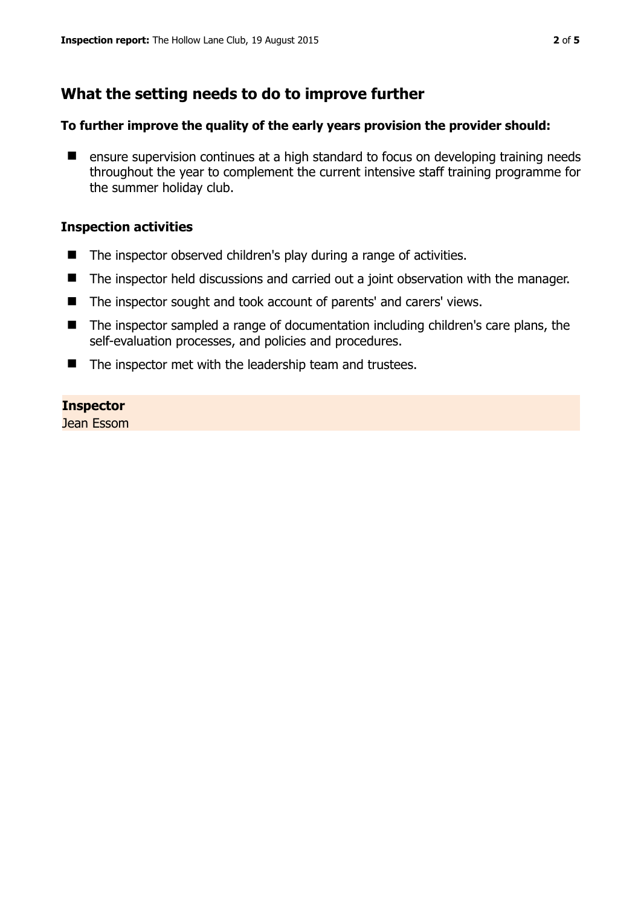# **What the setting needs to do to improve further**

#### **To further improve the quality of the early years provision the provider should:**

■ ensure supervision continues at a high standard to focus on developing training needs throughout the year to complement the current intensive staff training programme for the summer holiday club.

#### **Inspection activities**

- The inspector observed children's play during a range of activities.
- The inspector held discussions and carried out a joint observation with the manager.
- The inspector sought and took account of parents' and carers' views.
- The inspector sampled a range of documentation including children's care plans, the self-evaluation processes, and policies and procedures.
- $\blacksquare$  The inspector met with the leadership team and trustees.

#### **Inspector**

Jean Essom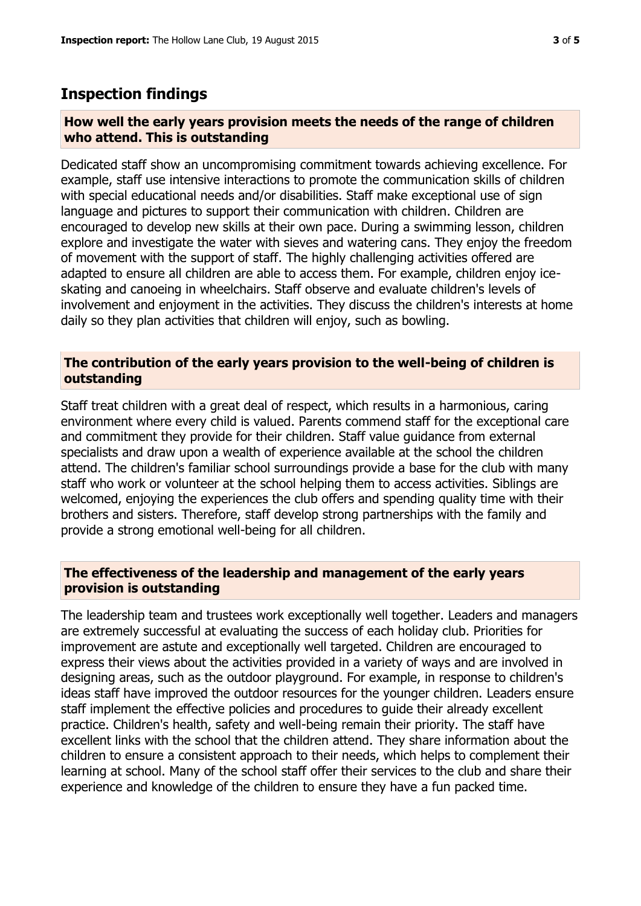## **Inspection findings**

#### **How well the early years provision meets the needs of the range of children who attend. This is outstanding**

Dedicated staff show an uncompromising commitment towards achieving excellence. For example, staff use intensive interactions to promote the communication skills of children with special educational needs and/or disabilities. Staff make exceptional use of sign language and pictures to support their communication with children. Children are encouraged to develop new skills at their own pace. During a swimming lesson, children explore and investigate the water with sieves and watering cans. They enjoy the freedom of movement with the support of staff. The highly challenging activities offered are adapted to ensure all children are able to access them. For example, children enjoy iceskating and canoeing in wheelchairs. Staff observe and evaluate children's levels of involvement and enjoyment in the activities. They discuss the children's interests at home daily so they plan activities that children will enjoy, such as bowling.

#### **The contribution of the early years provision to the well-being of children is outstanding**

Staff treat children with a great deal of respect, which results in a harmonious, caring environment where every child is valued. Parents commend staff for the exceptional care and commitment they provide for their children. Staff value guidance from external specialists and draw upon a wealth of experience available at the school the children attend. The children's familiar school surroundings provide a base for the club with many staff who work or volunteer at the school helping them to access activities. Siblings are welcomed, enjoying the experiences the club offers and spending quality time with their brothers and sisters. Therefore, staff develop strong partnerships with the family and provide a strong emotional well-being for all children.

#### **The effectiveness of the leadership and management of the early years provision is outstanding**

The leadership team and trustees work exceptionally well together. Leaders and managers are extremely successful at evaluating the success of each holiday club. Priorities for improvement are astute and exceptionally well targeted. Children are encouraged to express their views about the activities provided in a variety of ways and are involved in designing areas, such as the outdoor playground. For example, in response to children's ideas staff have improved the outdoor resources for the younger children. Leaders ensure staff implement the effective policies and procedures to guide their already excellent practice. Children's health, safety and well-being remain their priority. The staff have excellent links with the school that the children attend. They share information about the children to ensure a consistent approach to their needs, which helps to complement their learning at school. Many of the school staff offer their services to the club and share their experience and knowledge of the children to ensure they have a fun packed time.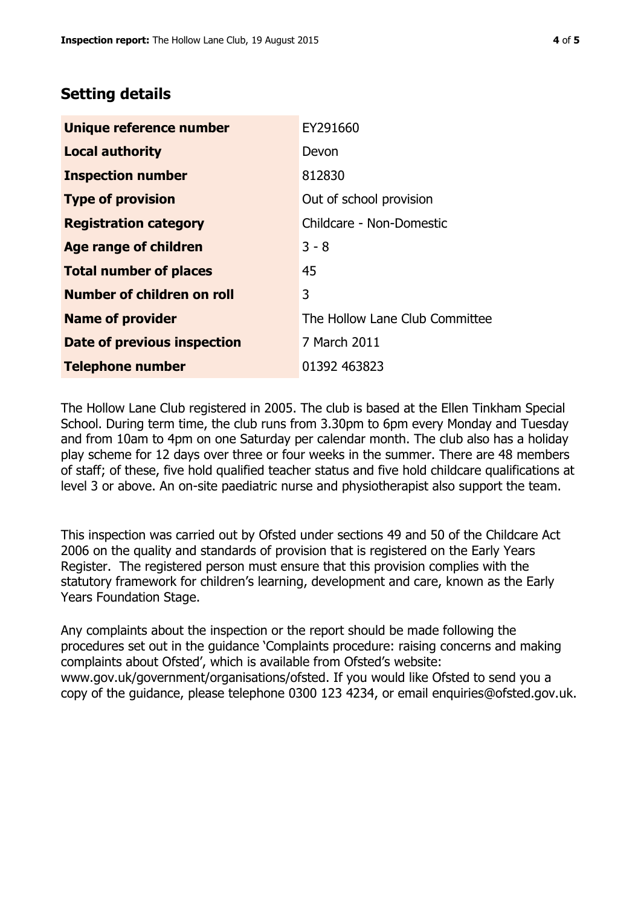# **Setting details**

| Unique reference number       | EY291660                       |
|-------------------------------|--------------------------------|
| <b>Local authority</b>        | Devon                          |
| <b>Inspection number</b>      | 812830                         |
| <b>Type of provision</b>      | Out of school provision        |
| <b>Registration category</b>  | Childcare - Non-Domestic       |
| Age range of children         | $3 - 8$                        |
| <b>Total number of places</b> | 45                             |
| Number of children on roll    | 3                              |
| <b>Name of provider</b>       | The Hollow Lane Club Committee |
| Date of previous inspection   | 7 March 2011                   |
| <b>Telephone number</b>       | 01392 463823                   |

The Hollow Lane Club registered in 2005. The club is based at the Ellen Tinkham Special School. During term time, the club runs from 3.30pm to 6pm every Monday and Tuesday and from 10am to 4pm on one Saturday per calendar month. The club also has a holiday play scheme for 12 days over three or four weeks in the summer. There are 48 members of staff; of these, five hold qualified teacher status and five hold childcare qualifications at level 3 or above. An on-site paediatric nurse and physiotherapist also support the team.

This inspection was carried out by Ofsted under sections 49 and 50 of the Childcare Act 2006 on the quality and standards of provision that is registered on the Early Years Register. The registered person must ensure that this provision complies with the statutory framework for children's learning, development and care, known as the Early Years Foundation Stage.

Any complaints about the inspection or the report should be made following the procedures set out in the guidance 'Complaints procedure: raising concerns and making complaints about Ofsted', which is available from Ofsted's website: www.gov.uk/government/organisations/ofsted. If you would like Ofsted to send you a copy of the guidance, please telephone 0300 123 4234, or email enquiries@ofsted.gov.uk.